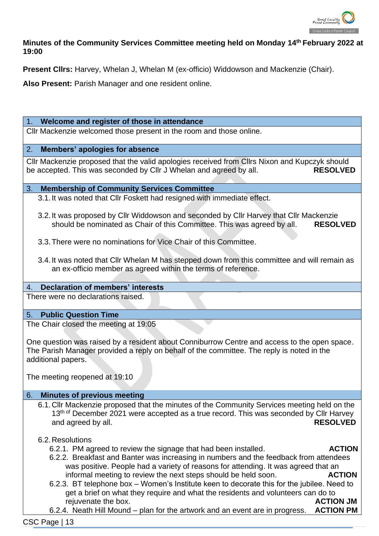

# **Minutes of the Community Services Committee meeting held on Monday 14 th February 2022 at 19:00**

**Present Cllrs:** Harvey, Whelan J, Whelan M (ex-officio) Widdowson and Mackenzie (Chair).

**Also Present:** Parish Manager and one resident online.

#### 1. **Welcome and register of those in attendance**

Cllr Mackenzie welcomed those present in the room and those online.

### 2. **Members' apologies for absence**

Cllr Mackenzie proposed that the valid apologies received from Cllrs Nixon and Kupczyk should be accepted. This was seconded by Cllr J Whelan and agreed by all. **RESOLVED**

#### 3. **Membership of Community Services Committee**

3.1.It was noted that Cllr Foskett had resigned with immediate effect.

- 3.2.It was proposed by Cllr Widdowson and seconded by Cllr Harvey that Cllr Mackenzie should be nominated as Chair of this Committee. This was agreed by all. **RESOLVED**
- 3.3.There were no nominations for Vice Chair of this Committee.
- 3.4.It was noted that Cllr Whelan M has stepped down from this committee and will remain as an ex-officio member as agreed within the terms of reference.

### 4. **Declaration of members' interests**

There were no declarations raised.

### 5. **Public Question Time**

The Chair closed the meeting at 19:05

One question was raised by a resident about Conniburrow Centre and access to the open space. The Parish Manager provided a reply on behalf of the committee. The reply is noted in the additional papers.

The meeting reopened at 19:10

## 6. **Minutes of previous meeting**

6.1.Cllr Mackenzie proposed that the minutes of the Community Services meeting held on the 13<sup>th of</sup> December 2021 were accepted as a true record. This was seconded by Cllr Harvey and agreed by all. **RESOLVED**

### 6.2.Resolutions

6.2.1. PM agreed to review the signage that had been installed. **ACTION**

- 6.2.2. Breakfast and Banter was increasing in numbers and the feedback from attendees was positive. People had a variety of reasons for attending. It was agreed that an informal meeting to review the next steps should be held soon. **ACTION**
- 6.2.3. BT telephone box Women's Institute keen to decorate this for the jubilee. Need to get a brief on what they require and what the residents and volunteers can do to rejuvenate the box. **ACTION JM**
- 6.2.4. Neath Hill Mound plan for the artwork and an event are in progress. **ACTION PM**